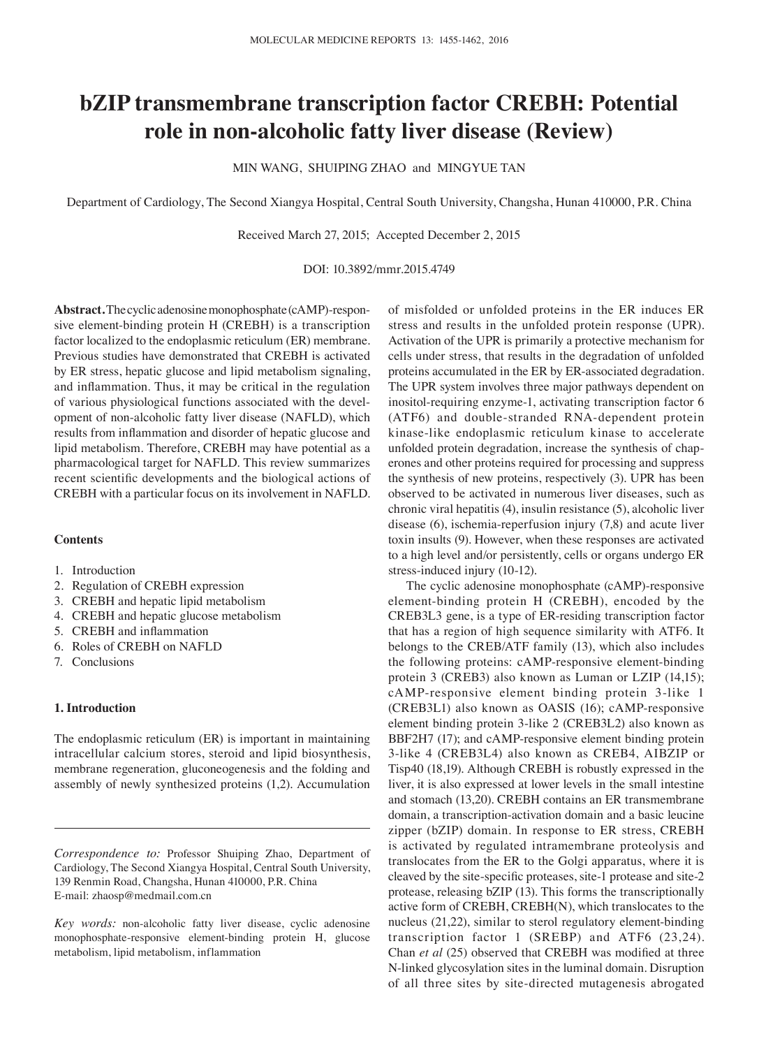# **bZIP transmembrane transcription factor CREBH: Potential role in non‑alcoholic fatty liver disease (Review)**

MIN WANG, SHUIPING ZHAO and MINGYUE TAN

Department of Cardiology, The Second Xiangya Hospital, Central South University, Changsha, Hunan 410000, P.R. China

Received March 27, 2015; Accepted December 2, 2015

DOI: 10.3892/mmr.2015.4749

**Abstract.** The cyclic adenosine monophosphate (cAMP)-responsive element-binding protein H (CREBH) is a transcription factor localized to the endoplasmic reticulum (ER) membrane. Previous studies have demonstrated that CREBH is activated by ER stress, hepatic glucose and lipid metabolism signaling, and inflammation. Thus, it may be critical in the regulation of various physiological functions associated with the development of non-alcoholic fatty liver disease (NAFLD), which results from inflammation and disorder of hepatic glucose and lipid metabolism. Therefore, CREBH may have potential as a pharmacological target for NAFLD. This review summarizes recent scientific developments and the biological actions of CREBH with a particular focus on its involvement in NAFLD.

# **Contents**

- 1. Introduction
- 2. Regulation of CREBH expression
- 3. CREBH and hepatic lipid metabolism
- 4. CREBH and hepatic glucose metabolism
- 5. CREBH and inflammation
- 6. Roles of CREBH on NAFLD
- 7. Conclusions

# **1. Introduction**

The endoplasmic reticulum (ER) is important in maintaining intracellular calcium stores, steroid and lipid biosynthesis, membrane regeneration, gluconeogenesis and the folding and assembly of newly synthesized proteins (1,2). Accumulation

*Correspondence to:* Professor Shuiping Zhao, Department of Cardiology, The Second Xiangya Hospital, Central South University, 139 Renmin Road, Changsha, Hunan 410000, P.R. China E-mail: zhaosp@medmail.com.cn

*Key words:* non-alcoholic fatty liver disease, cyclic adenosine monophosphate-responsive element-binding protein H, glucose metabolism, lipid metabolism, inflammation

of misfolded or unfolded proteins in the ER induces ER stress and results in the unfolded protein response (UPR). Activation of the UPR is primarily a protective mechanism for cells under stress, that results in the degradation of unfolded proteins accumulated in the ER by ER-associated degradation. The UPR system involves three major pathways dependent on inositol-requiring enzyme-1, activating transcription factor 6 (ATF6) and double-stranded RNA-dependent protein kinase-like endoplasmic reticulum kinase to accelerate unfolded protein degradation, increase the synthesis of chaperones and other proteins required for processing and suppress the synthesis of new proteins, respectively (3). UPR has been observed to be activated in numerous liver diseases, such as chronic viral hepatitis (4), insulin resistance (5), alcoholic liver disease (6), ischemia-reperfusion injury (7,8) and acute liver toxin insults (9). However, when these responses are activated to a high level and/or persistently, cells or organs undergo ER stress-induced injury (10-12).

The cyclic adenosine monophosphate (cAMP)-responsive element-binding protein H (CREBH), encoded by the CREB3L3 gene, is a type of ER-residing transcription factor that has a region of high sequence similarity with ATF6. It belongs to the CREB/ATF family (13), which also includes the following proteins: cAMP-responsive element-binding protein 3 (CREB3) also known as Luman or LZIP (14,15); cAMP-responsive element binding protein 3-like 1 (CREB3L1) also known as OASIS (16); cAMP-responsive element binding protein 3-like 2 (CREB3L2) also known as BBF2H7 (17); and cAMP-responsive element binding protein 3-like 4 (CREB3L4) also known as CREB4, AIBZIP or Tisp40 (18,19). Although CREBH is robustly expressed in the liver, it is also expressed at lower levels in the small intestine and stomach (13,20). CREBH contains an ER transmembrane domain, a transcription-activation domain and a basic leucine zipper (bZIP) domain. In response to ER stress, CREBH is activated by regulated intramembrane proteolysis and translocates from the ER to the Golgi apparatus, where it is cleaved by the site‑specific proteases, site‑1 protease and site-2 protease, releasing bZIP (13). This forms the transcriptionally active form of CREBH, CREBH(N), which translocates to the nucleus (21,22), similar to sterol regulatory element-binding transcription factor 1 (SREBP) and ATF6 (23,24). Chan *et al* (25) observed that CREBH was modified at three N-linked glycosylation sites in the luminal domain. Disruption of all three sites by site-directed mutagenesis abrogated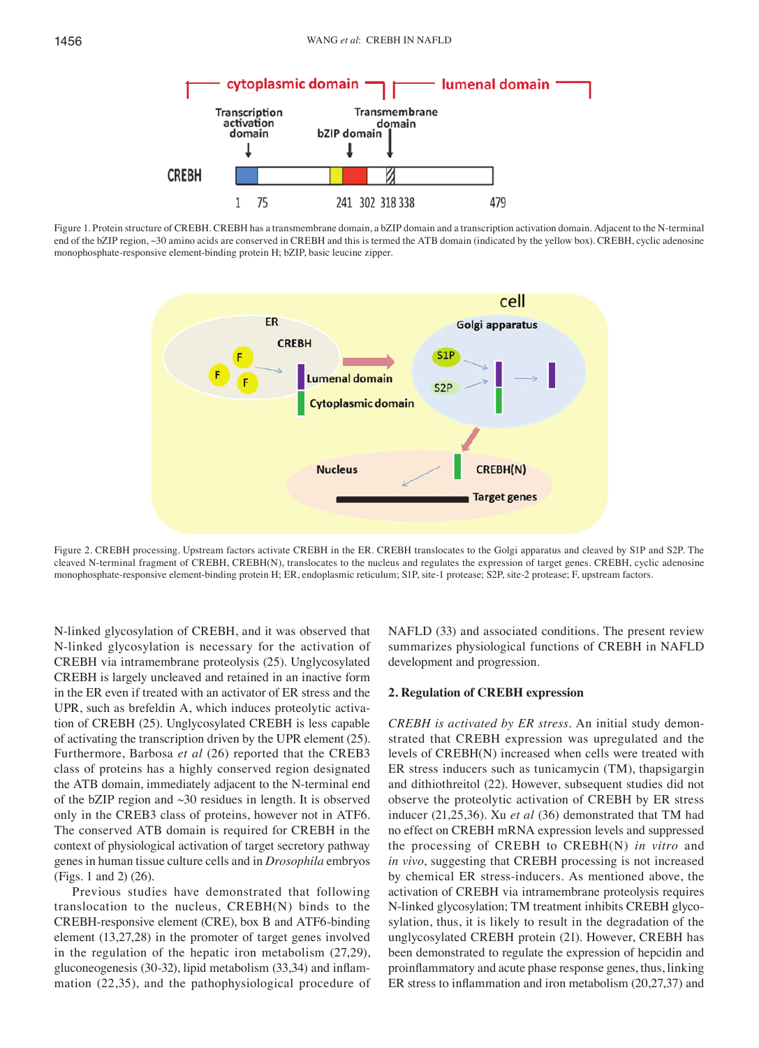

Figure 1. Protein structure of CREBH. CREBH has a transmembrane domain, a bZIP domain and a transcription activation domain. Adjacent to the N-terminal end of the bZIP region, ~30 amino acids are conserved in CREBH and this is termed the ATB domain (indicated by the yellow box). CREBH, cyclic adenosine monophosphate-responsive element-binding protein H; bZIP, basic leucine zipper.



Figure 2. CREBH processing. Upstream factors activate CREBH in the ER. CREBH translocates to the Golgi apparatus and cleaved by S1P and S2P. The cleaved N-terminal fragment of CREBH, CREBH(N), translocates to the nucleus and regulates the expression of target genes. CREBH, cyclic adenosine monophosphate-responsive element-binding protein H; ER, endoplasmic reticulum; S1P, site-1 protease; S2P, site-2 protease; F, upstream factors.

N-linked glycosylation of CREBH, and it was observed that N-linked glycosylation is necessary for the activation of CREBH via intramembrane proteolysis (25). Unglycosylated CREBH is largely uncleaved and retained in an inactive form in the ER even if treated with an activator of ER stress and the UPR, such as brefeldin A, which induces proteolytic activation of CREBH (25). Unglycosylated CREBH is less capable of activating the transcription driven by the UPR element (25). Furthermore, Barbosa *et al* (26) reported that the CREB3 class of proteins has a highly conserved region designated the ATB domain, immediately adjacent to the N-terminal end of the bZIP region and ~30 residues in length. It is observed only in the CREB3 class of proteins, however not in ATF6. The conserved ATB domain is required for CREBH in the context of physiological activation of target secretory pathway genes in human tissue culture cells and in *Drosophila* embryos (Figs. 1 and 2) (26).

Previous studies have demonstrated that following translocation to the nucleus, CREBH(N) binds to the CREBH-responsive element (CRE), box B and ATF6-binding element (13,27,28) in the promoter of target genes involved in the regulation of the hepatic iron metabolism (27,29), gluconeogenesis (30‑32), lipid metabolism (33,34) and inflammation (22,35), and the pathophysiological procedure of NAFLD (33) and associated conditions. The present review summarizes physiological functions of CREBH in NAFLD development and progression.

### **2. Regulation of CREBH expression**

*CREBH is activated by ER stress.* An initial study demonstrated that CREBH expression was upregulated and the levels of CREBH(N) increased when cells were treated with ER stress inducers such as tunicamycin (TM), thapsigargin and dithiothreitol (22). However, subsequent studies did not observe the proteolytic activation of CREBH by ER stress inducer (21,25,36). Xu *et al* (36) demonstrated that TM had no effect on CREBH mRNA expression levels and suppressed the processing of CREBH to CREBH(N) *in vitro* and *in vivo*, suggesting that CREBH processing is not increased by chemical ER stress-inducers. As mentioned above, the activation of CREBH via intramembrane proteolysis requires N-linked glycosylation; TM treatment inhibits CREBH glycosylation, thus, it is likely to result in the degradation of the unglycosylated CREBH protein (21). However, CREBH has been demonstrated to regulate the expression of hepcidin and proinflammatory and acute phase response genes, thus, linking ER stress to inflammation and iron metabolism (20,27,37) and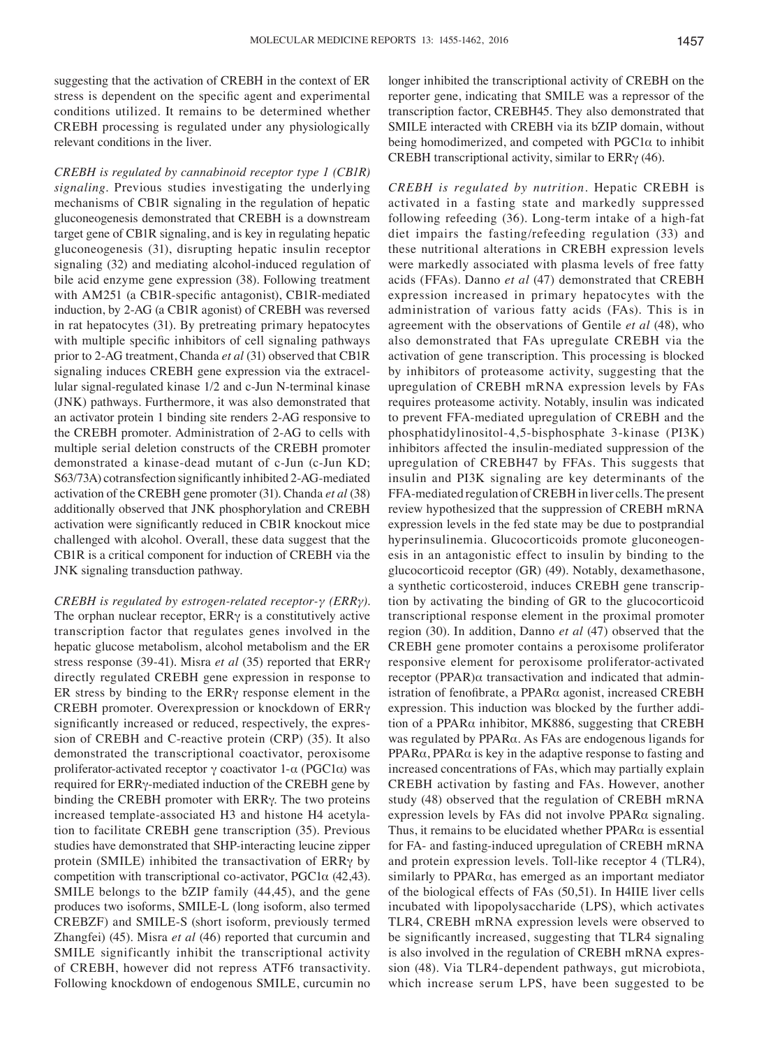suggesting that the activation of CREBH in the context of ER stress is dependent on the specific agent and experimental conditions utilized. It remains to be determined whether CREBH processing is regulated under any physiologically relevant conditions in the liver.

*CREBH is regulated by cannabinoid receptor type 1 (CB1R) signaling.* Previous studies investigating the underlying mechanisms of CB1R signaling in the regulation of hepatic gluconeogenesis demonstrated that CREBH is a downstream target gene of CB1R signaling, and is key in regulating hepatic gluconeogenesis (31), disrupting hepatic insulin receptor signaling (32) and mediating alcohol-induced regulation of bile acid enzyme gene expression (38). Following treatment with AM251 (a CB1R-specific antagonist), CB1R-mediated induction, by 2-AG (a CB1R agonist) of CREBH was reversed in rat hepatocytes (31). By pretreating primary hepatocytes with multiple specific inhibitors of cell signaling pathways prior to 2-AG treatment, Chanda *et al* (31) observed that CB1R signaling induces CREBH gene expression via the extracellular signal-regulated kinase 1/2 and c-Jun N-terminal kinase (JNK) pathways. Furthermore, it was also demonstrated that an activator protein 1 binding site renders 2-AG responsive to the CREBH promoter. Administration of 2-AG to cells with multiple serial deletion constructs of the CREBH promoter demonstrated a kinase-dead mutant of c-Jun (c-Jun KD; S63/73A) cotransfection significantly inhibited 2‑AG‑mediated activation of the CREBH gene promoter (31). Chanda *et al* (38) additionally observed that JNK phosphorylation and CREBH activation were significantly reduced in CB1R knockout mice challenged with alcohol. Overall, these data suggest that the CB1R is a critical component for induction of CREBH via the JNK signaling transduction pathway.

*CREBH is regulated by estrogen‑related receptor‑γ (ERRγ).*  The orphan nuclear receptor,  $ERR\gamma$  is a constitutively active transcription factor that regulates genes involved in the hepatic glucose metabolism, alcohol metabolism and the ER stress response (39-41). Misra *et al* (35) reported that ERRγ directly regulated CREBH gene expression in response to ER stress by binding to the ERRγ response element in the CREBH promoter. Overexpression or knockdown of ERRγ significantly increased or reduced, respectively, the expression of CREBH and C-reactive protein (CRP) (35). It also demonstrated the transcriptional coactivator, peroxisome proliferator-activated receptor γ coactivator 1-α (PGC1α) was required for ERRγ-mediated induction of the CREBH gene by binding the CREBH promoter with ERRγ. The two proteins increased template-associated H3 and histone H4 acetylation to facilitate CREBH gene transcription (35). Previous studies have demonstrated that SHP-interacting leucine zipper protein (SMILE) inhibited the transactivation of ERRγ by competition with transcriptional co-activator, PGC1α (42,43). SMILE belongs to the bZIP family (44,45), and the gene produces two isoforms, SMILE-L (long isoform, also termed CREBZF) and SMILE-S (short isoform, previously termed Zhangfei) (45). Misra *et al* (46) reported that curcumin and SMILE significantly inhibit the transcriptional activity of CREBH, however did not repress ATF6 transactivity. Following knockdown of endogenous SMILE, curcumin no longer inhibited the transcriptional activity of CREBH on the reporter gene, indicating that SMILE was a repressor of the transcription factor, CREBH45. They also demonstrated that SMILE interacted with CREBH via its bZIP domain, without being homodimerized, and competed with  $PGC1\alpha$  to inhibit CREBH transcriptional activity, similar to ERRγ (46).

*CREBH is regulated by nutrition.* Hepatic CREBH is activated in a fasting state and markedly suppressed following refeeding (36). Long-term intake of a high-fat diet impairs the fasting/refeeding regulation (33) and these nutritional alterations in CREBH expression levels were markedly associated with plasma levels of free fatty acids (FFAs). Danno *et al* (47) demonstrated that CREBH expression increased in primary hepatocytes with the administration of various fatty acids (FAs). This is in agreement with the observations of Gentile *et al* (48), who also demonstrated that FAs upregulate CREBH via the activation of gene transcription. This processing is blocked by inhibitors of proteasome activity, suggesting that the upregulation of CREBH mRNA expression levels by FAs requires proteasome activity. Notably, insulin was indicated to prevent FFA-mediated upregulation of CREBH and the phosphatidylinositol-4,5-bisphosphate 3-kinase (PI3K) inhibitors affected the insulin-mediated suppression of the upregulation of CREBH47 by FFAs. This suggests that insulin and PI3K signaling are key determinants of the FFA-mediated regulation of CREBH in liver cells. The present review hypothesized that the suppression of CREBH mRNA expression levels in the fed state may be due to postprandial hyperinsulinemia. Glucocorticoids promote gluconeogenesis in an antagonistic effect to insulin by binding to the glucocorticoid receptor (GR) (49). Notably, dexamethasone, a synthetic corticosteroid, induces CREBH gene transcription by activating the binding of GR to the glucocorticoid transcriptional response element in the proximal promoter region (30). In addition, Danno *et al* (47) observed that the CREBH gene promoter contains a peroxisome proliferator responsive element for peroxisome proliferator-activated receptor (PPAR)α transactivation and indicated that administration of fenofibrate, a PPARα agonist, increased CREBH expression. This induction was blocked by the further addition of a PPARα inhibitor, MK886, suggesting that CREBH was regulated by PPARα. As FAs are endogenous ligands for PPARα, PPARα is key in the adaptive response to fasting and increased concentrations of FAs, which may partially explain CREBH activation by fasting and FAs. However, another study (48) observed that the regulation of CREBH mRNA expression levels by FAs did not involve PPARα signaling. Thus, it remains to be elucidated whether PPARα is essential for FA- and fasting-induced upregulation of CREBH mRNA and protein expression levels. Toll-like receptor 4 (TLR4), similarly to PPARα, has emerged as an important mediator of the biological effects of FAs (50,51). In H4IIE liver cells incubated with lipopolysaccharide (LPS), which activates TLR4, CREBH mRNA expression levels were observed to be significantly increased, suggesting that TLR4 signaling is also involved in the regulation of CREBH mRNA expression (48). Via TLR4-dependent pathways, gut microbiota, which increase serum LPS, have been suggested to be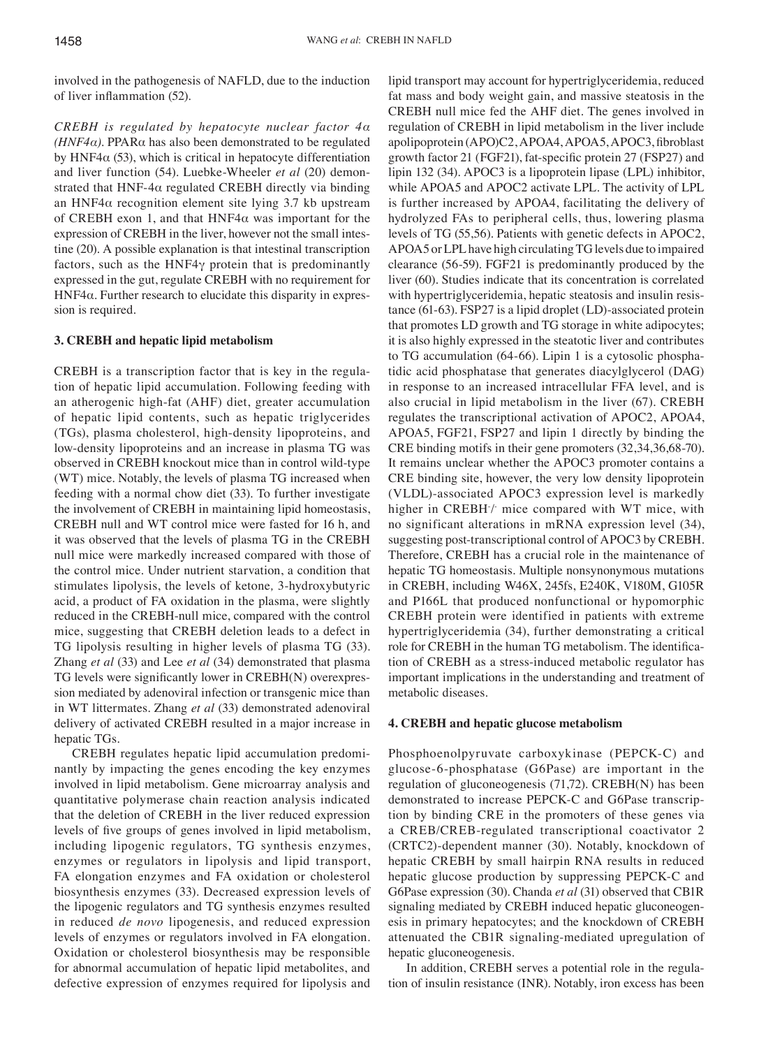involved in the pathogenesis of NAFLD, due to the induction of liver inflammation (52).

*CREBH is regulated by hepatocyte nuclear factor 4α (HNF4* $α$ *).* PPAR $α$  has also been demonstrated to be regulated by HNF4 $\alpha$  (53), which is critical in hepatocyte differentiation and liver function (54). Luebke-Wheeler *et al* (20) demonstrated that HNF-4 $\alpha$  regulated CREBH directly via binding an HNF4 $\alpha$  recognition element site lying 3.7 kb upstream of CREBH exon 1, and that  $HNF4\alpha$  was important for the expression of CREBH in the liver, however not the small intestine (20). A possible explanation is that intestinal transcription factors, such as the HNF4γ protein that is predominantly expressed in the gut, regulate CREBH with no requirement for HNF4 $\alpha$ . Further research to elucidate this disparity in expression is required.

# **3. CREBH and hepatic lipid metabolism**

CREBH is a transcription factor that is key in the regulation of hepatic lipid accumulation. Following feeding with an atherogenic high-fat (AHF) diet, greater accumulation of hepatic lipid contents, such as hepatic triglycerides (TGs), plasma cholesterol, high-density lipoproteins, and low-density lipoproteins and an increase in plasma TG was observed in CREBH knockout mice than in control wild-type (WT) mice. Notably, the levels of plasma TG increased when feeding with a normal chow diet (33). To further investigate the involvement of CREBH in maintaining lipid homeostasis, CREBH null and WT control mice were fasted for 16 h, and it was observed that the levels of plasma TG in the CREBH null mice were markedly increased compared with those of the control mice. Under nutrient starvation, a condition that stimulates lipolysis, the levels of ketone*,* 3-hydroxybutyric acid, a product of FA oxidation in the plasma, were slightly reduced in the CREBH-null mice, compared with the control mice, suggesting that CREBH deletion leads to a defect in TG lipolysis resulting in higher levels of plasma TG (33). Zhang *et al* (33) and Lee *et al* (34) demonstrated that plasma TG levels were significantly lower in CREBH(N) overexpression mediated by adenoviral infection or transgenic mice than in WT littermates. Zhang *et al* (33) demonstrated adenoviral delivery of activated CREBH resulted in a major increase in hepatic TGs.

CREBH regulates hepatic lipid accumulation predominantly by impacting the genes encoding the key enzymes involved in lipid metabolism. Gene microarray analysis and quantitative polymerase chain reaction analysis indicated that the deletion of CREBH in the liver reduced expression levels of five groups of genes involved in lipid metabolism, including lipogenic regulators, TG synthesis enzymes, enzymes or regulators in lipolysis and lipid transport, FA elongation enzymes and FA oxidation or cholesterol biosynthesis enzymes (33). Decreased expression levels of the lipogenic regulators and TG synthesis enzymes resulted in reduced *de novo* lipogenesis, and reduced expression levels of enzymes or regulators involved in FA elongation. Oxidation or cholesterol biosynthesis may be responsible for abnormal accumulation of hepatic lipid metabolites, and defective expression of enzymes required for lipolysis and lipid transport may account for hypertriglyceridemia, reduced fat mass and body weight gain, and massive steatosis in the CREBH null mice fed the AHF diet. The genes involved in regulation of CREBH in lipid metabolism in the liver include apolipoprotein (APO)C2, APOA4, APOA5, APOC3, fibroblast growth factor 21 (FGF21), fat‑specific protein 27 (FSP27) and lipin 132 (34). APOC3 is a lipoprotein lipase (LPL) inhibitor, while APOA5 and APOC2 activate LPL. The activity of LPL is further increased by APOA4, facilitating the delivery of hydrolyzed FAs to peripheral cells, thus, lowering plasma levels of TG (55,56). Patients with genetic defects in APOC2, APOA5 or LPL have high circulating TG levels due to impaired clearance (56-59). FGF21 is predominantly produced by the liver (60). Studies indicate that its concentration is correlated with hypertriglyceridemia, hepatic steatosis and insulin resistance (61-63). FSP27 is a lipid droplet (LD)-associated protein that promotes LD growth and TG storage in white adipocytes; it is also highly expressed in the steatotic liver and contributes to TG accumulation (64-66). Lipin 1 is a cytosolic phosphatidic acid phosphatase that generates diacylglycerol (DAG) in response to an increased intracellular FFA level, and is also crucial in lipid metabolism in the liver (67). CREBH regulates the transcriptional activation of APOC2, APOA4, APOA5, FGF21, FSP27 and lipin 1 directly by binding the CRE binding motifs in their gene promoters (32,34,36,68-70). It remains unclear whether the APOC3 promoter contains a CRE binding site, however, the very low density lipoprotein (VLDL)-associated APOC3 expression level is markedly higher in CREBH/ mice compared with WT mice, with no significant alterations in mRNA expression level (34), suggesting post-transcriptional control of APOC3 by CREBH. Therefore, CREBH has a crucial role in the maintenance of hepatic TG homeostasis. Multiple nonsynonymous mutations in CREBH, including W46X, 245fs, E240K, V180M, G105R and P166L that produced nonfunctional or hypomorphic CREBH protein were identified in patients with extreme hypertriglyceridemia (34), further demonstrating a critical role for CREBH in the human TG metabolism. The identification of CREBH as a stress-induced metabolic regulator has important implications in the understanding and treatment of metabolic diseases.

## **4. CREBH and hepatic glucose metabolism**

Phosphoenolpyruvate carboxykinase (PEPCK-C) and glucose-6-phosphatase (G6Pase) are important in the regulation of gluconeogenesis (71,72). CREBH(N) has been demonstrated to increase PEPCK-C and G6Pase transcription by binding CRE in the promoters of these genes via a CREB/CREB-regulated transcriptional coactivator 2 (CRTC2)-dependent manner (30). Notably, knockdown of hepatic CREBH by small hairpin RNA results in reduced hepatic glucose production by suppressing PEPCK-C and G6Pase expression (30). Chanda *et al* (31) observed that CB1R signaling mediated by CREBH induced hepatic gluconeogenesis in primary hepatocytes; and the knockdown of CREBH attenuated the CB1R signaling-mediated upregulation of hepatic gluconeogenesis.

In addition, CREBH serves a potential role in the regulation of insulin resistance (INR). Notably, iron excess has been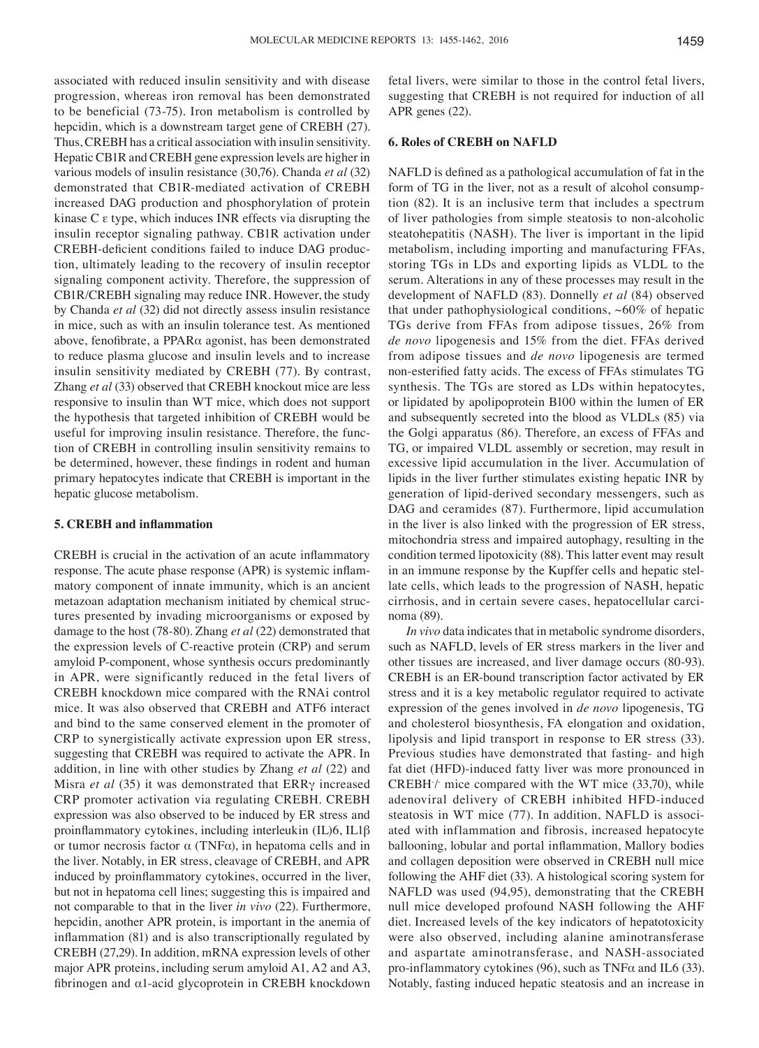associated with reduced insulin sensitivity and with disease progression, whereas iron removal has been demonstrated to be beneficial (73-75). Iron metabolism is controlled by hepcidin, which is a downstream target gene of CREBH (27). Thus, CREBH has a critical association with insulin sensitivity. Hepatic CB1R and CREBH gene expression levels are higher in various models of insulin resistance (30,76). Chanda *et al* (32) demonstrated that CB1R-mediated activation of CREBH increased DAG production and phosphorylation of protein kinase C ε type, which induces INR effects via disrupting the insulin receptor signaling pathway. CB1R activation under CREBH‑deficient conditions failed to induce DAG production, ultimately leading to the recovery of insulin receptor signaling component activity. Therefore, the suppression of CB1R/CREBH signaling may reduce INR. However, the study by Chanda *et al* (32) did not directly assess insulin resistance in mice, such as with an insulin tolerance test. As mentioned above, fenofibrate, a PPARα agonist, has been demonstrated to reduce plasma glucose and insulin levels and to increase insulin sensitivity mediated by CREBH (77). By contrast, Zhang *et al* (33) observed that CREBH knockout mice are less responsive to insulin than WT mice, which does not support the hypothesis that targeted inhibition of CREBH would be useful for improving insulin resistance. Therefore, the function of CREBH in controlling insulin sensitivity remains to be determined, however, these findings in rodent and human primary hepatocytes indicate that CREBH is important in the hepatic glucose metabolism.

## **5. CREBH and inflammation**

CREBH is crucial in the activation of an acute inflammatory response. The acute phase response (APR) is systemic inflammatory component of innate immunity, which is an ancient metazoan adaptation mechanism initiated by chemical structures presented by invading microorganisms or exposed by damage to the host (78-80). Zhang *et al* (22) demonstrated that the expression levels of C-reactive protein (CRP) and serum amyloid P-component, whose synthesis occurs predominantly in APR, were significantly reduced in the fetal livers of CREBH knockdown mice compared with the RNAi control mice. It was also observed that CREBH and ATF6 interact and bind to the same conserved element in the promoter of CRP to synergistically activate expression upon ER stress, suggesting that CREBH was required to activate the APR. In addition, in line with other studies by Zhang *et al* (22) and Misra *et al* (35) it was demonstrated that ERRγ increased CRP promoter activation via regulating CREBH. CREBH expression was also observed to be induced by ER stress and proinflammatory cytokines, including interleukin (IL)6, IL1β or tumor necrosis factor  $\alpha$  (TNF $\alpha$ ), in hepatoma cells and in the liver. Notably, in ER stress, cleavage of CREBH, and APR induced by proinflammatory cytokines, occurred in the liver, but not in hepatoma cell lines; suggesting this is impaired and not comparable to that in the liver *in vivo* (22). Furthermore, hepcidin, another APR protein, is important in the anemia of inflammation (81) and is also transcriptionally regulated by CREBH (27,29). In addition, mRNA expression levels of other major APR proteins, including serum amyloid A1, A2 and A3, fibrinogen and α1-acid glycoprotein in CREBH knockdown fetal livers, were similar to those in the control fetal livers, suggesting that CREBH is not required for induction of all APR genes (22).

### **6. Roles of CREBH on NAFLD**

NAFLD is defined as a pathological accumulation of fat in the form of TG in the liver, not as a result of alcohol consumption (82). It is an inclusive term that includes a spectrum of liver pathologies from simple steatosis to non-alcoholic steatohepatitis (NASH). The liver is important in the lipid metabolism, including importing and manufacturing FFAs, storing TGs in LDs and exporting lipids as VLDL to the serum. Alterations in any of these processes may result in the development of NAFLD (83). Donnelly *et al* (84) observed that under pathophysiological conditions,  $~60\%$  of hepatic TGs derive from FFAs from adipose tissues, 26% from *de novo* lipogenesis and 15% from the diet. FFAs derived from adipose tissues and *de novo* lipogenesis are termed non‑esterified fatty acids. The excess of FFAs stimulates TG synthesis. The TGs are stored as LDs within hepatocytes, or lipidated by apolipoprotein B100 within the lumen of ER and subsequently secreted into the blood as VLDLs (85) via the Golgi apparatus (86). Therefore, an excess of FFAs and TG, or impaired VLDL assembly or secretion, may result in excessive lipid accumulation in the liver. Accumulation of lipids in the liver further stimulates existing hepatic INR by generation of lipid-derived secondary messengers, such as DAG and ceramides (87). Furthermore, lipid accumulation in the liver is also linked with the progression of ER stress, mitochondria stress and impaired autophagy, resulting in the condition termed lipotoxicity (88). This latter event may result in an immune response by the Kupffer cells and hepatic stellate cells, which leads to the progression of NASH, hepatic cirrhosis, and in certain severe cases, hepatocellular carcinoma (89).

*In vivo* data indicates that in metabolic syndrome disorders, such as NAFLD, levels of ER stress markers in the liver and other tissues are increased, and liver damage occurs (80-93). CREBH is an ER-bound transcription factor activated by ER stress and it is a key metabolic regulator required to activate expression of the genes involved in *de novo* lipogenesis, TG and cholesterol biosynthesis, FA elongation and oxidation, lipolysis and lipid transport in response to ER stress (33). Previous studies have demonstrated that fasting- and high fat diet (HFD)-induced fatty liver was more pronounced in  $CREBH/$  mice compared with the WT mice  $(33,70)$ , while adenoviral delivery of CREBH inhibited HFD-induced steatosis in WT mice (77). In addition, NAFLD is associated with inflammation and fibrosis, increased hepatocyte ballooning, lobular and portal inflammation, Mallory bodies and collagen deposition were observed in CREBH null mice following the AHF diet (33). A histological scoring system for NAFLD was used (94,95), demonstrating that the CREBH null mice developed profound NASH following the AHF diet. Increased levels of the key indicators of hepatotoxicity were also observed, including alanine aminotransferase and aspartate aminotransferase, and NASH-associated pro-inflammatory cytokines (96), such as TNFα and IL6 (33). Notably, fasting induced hepatic steatosis and an increase in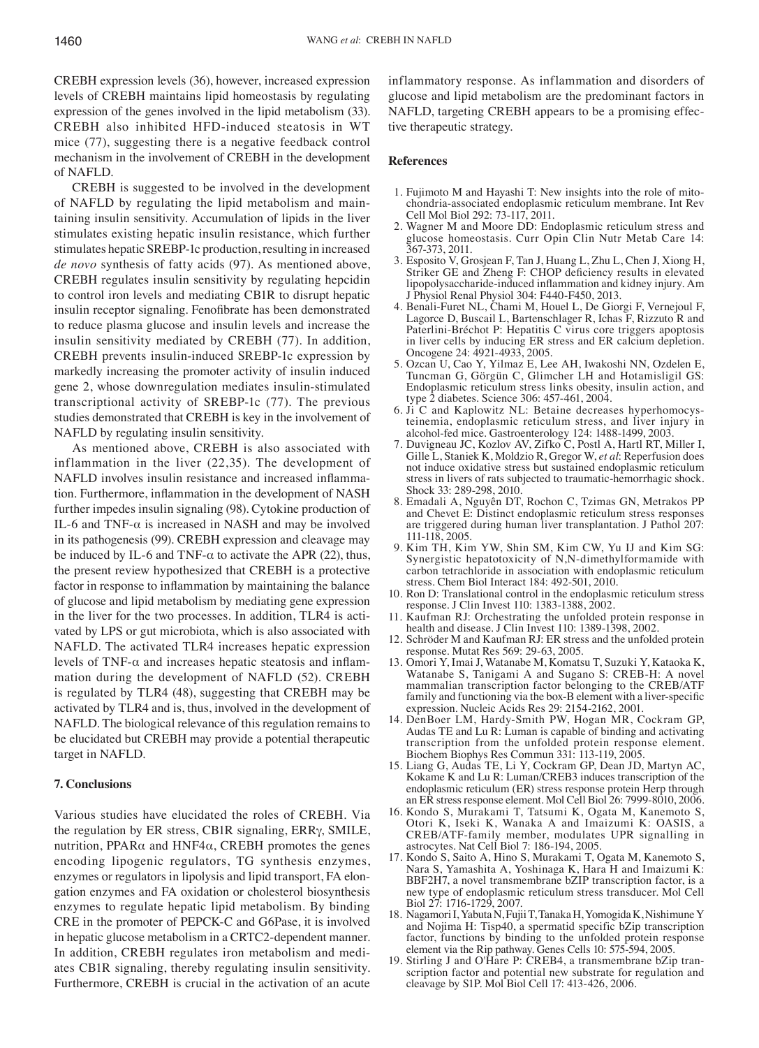CREBH expression levels (36), however, increased expression levels of CREBH maintains lipid homeostasis by regulating expression of the genes involved in the lipid metabolism (33). CREBH also inhibited HFD-induced steatosis in WT mice (77), suggesting there is a negative feedback control mechanism in the involvement of CREBH in the development of NAFLD.

CREBH is suggested to be involved in the development of NAFLD by regulating the lipid metabolism and maintaining insulin sensitivity. Accumulation of lipids in the liver stimulates existing hepatic insulin resistance, which further stimulates hepatic SREBP-1c production, resulting in increased *de novo* synthesis of fatty acids (97). As mentioned above, CREBH regulates insulin sensitivity by regulating hepcidin to control iron levels and mediating CB1R to disrupt hepatic insulin receptor signaling. Fenofibrate has been demonstrated to reduce plasma glucose and insulin levels and increase the insulin sensitivity mediated by CREBH (77). In addition, CREBH prevents insulin-induced SREBP-1c expression by markedly increasing the promoter activity of insulin induced gene 2, whose downregulation mediates insulin-stimulated transcriptional activity of SREBP-1c (77). The previous studies demonstrated that CREBH is key in the involvement of NAFLD by regulating insulin sensitivity.

As mentioned above, CREBH is also associated with inflammation in the liver (22,35). The development of NAFLD involves insulin resistance and increased inflammation. Furthermore, inflammation in the development of NASH further impedes insulin signaling (98). Cytokine production of IL-6 and TNF- $\alpha$  is increased in NASH and may be involved in its pathogenesis (99). CREBH expression and cleavage may be induced by IL-6 and TNF- $\alpha$  to activate the APR (22), thus, the present review hypothesized that CREBH is a protective factor in response to inflammation by maintaining the balance of glucose and lipid metabolism by mediating gene expression in the liver for the two processes. In addition, TLR4 is activated by LPS or gut microbiota, which is also associated with NAFLD. The activated TLR4 increases hepatic expression levels of TNF-α and increases hepatic steatosis and inflammation during the development of NAFLD (52). CREBH is regulated by TLR4 (48), suggesting that CREBH may be activated by TLR4 and is, thus, involved in the development of NAFLD. The biological relevance of this regulation remains to be elucidated but CREBH may provide a potential therapeutic target in NAFLD.

#### **7. Conclusions**

Various studies have elucidated the roles of CREBH. Via the regulation by ER stress, CB1R signaling, ERRγ, SMILE, nutrition, PPARα and HNF4α, CREBH promotes the genes encoding lipogenic regulators, TG synthesis enzymes, enzymes or regulators in lipolysis and lipid transport, FA elongation enzymes and FA oxidation or cholesterol biosynthesis enzymes to regulate hepatic lipid metabolism. By binding CRE in the promoter of PEPCK-C and G6Pase, it is involved in hepatic glucose metabolism in a CRTC2-dependent manner. In addition, CREBH regulates iron metabolism and mediates CB1R signaling, thereby regulating insulin sensitivity. Furthermore, CREBH is crucial in the activation of an acute inflammatory response. As inflammation and disorders of glucose and lipid metabolism are the predominant factors in NAFLD, targeting CREBH appears to be a promising effective therapeutic strategy.

## **References**

- 1. Fujimoto M and Hayashi T: New insights into the role of mitochondria-associated endoplasmic reticulum membrane. Int Rev Cell Mol Biol 292: 73-117, 2011.
- 2. Wagner M and Moore DD: Endoplasmic reticulum stress and glucose homeostasis. Curr Opin Clin Nutr Metab Care 14: 367-373, 2011.
- 3. Esposito V, Grosjean F, Tan J, Huang L, Zhu L, Chen J, Xiong H, Striker GE and Zheng F: CHOP deficiency results in elevated lipopolysaccharide‑induced inflammation and kidney injury. Am J Physiol Renal Physiol 304: F440-F450, 2013.
- 4. Benali-Furet NL, Chami M, Houel L, De Giorgi F, Vernejoul F, Lagorce D, Buscail L, Bartenschlager R, Ichas F, Rizzuto R and Paterlini-Bréchot P: Hepatitis C virus core triggers apoptosis in liver cells by inducing ER stress and ER calcium depletion. Oncogene 24: 4921-4933, 2005.
- 5. Ozcan U, Cao Y, Yilmaz E, Lee AH, Iwakoshi NN, Ozdelen E, Tuncman G, Görgün C, Glimcher LH and Hotamisligil GS: Endoplasmic reticulum stress links obesity, insulin action, and type 2 diabetes. Science 306: 457-461, 2004.
- 6. Ji C and Kaplowitz NL: Betaine decreases hyperhomocysteinemia, endoplasmic reticulum stress, and liver injury in alcohol-fed mice. Gastroenterology 124: 1488-1499, 2003.
- 7. Duvigneau JC, Kozlov AV, Zifko C, Postl A, Hartl RT, Miller I, Gille L, Staniek K, Moldzio R, Gregor W, *et al*: Reperfusion does not induce oxidative stress but sustained endoplasmic reticulum stress in livers of rats subjected to traumatic-hemorrhagic shock. Shock 33: 289-298, 2010.
- 8. Emadali A, Nguyên DT, Rochon C, Tzimas GN, Metrakos PP and Chevet E: Distinct endoplasmic reticulum stress responses are triggered during human liver transplantation. J Pathol 207: 111-118, 2005.
- 9. Kim TH, Kim YW, Shin SM, Kim CW, Yu IJ and Kim SG: Synergistic hepatotoxicity of N,N-dimethylformamide with carbon tetrachloride in association with endoplasmic reticulum stress. Chem Biol Interact 184: 492-501, 2010.
- 10. Ron D: Translational control in the endoplasmic reticulum stress response. J Clin Invest 110: 1383-1388, 2002.
- 11. Kaufman RJ: Orchestrating the unfolded protein response in health and disease. J Clin Invest 110: 1389-1398, 2002.
- 12. Schröder M and Kaufman RJ: ER stress and the unfolded protein response. Mutat Res 569: 29-63, 2005.
- 13. Omori Y, Imai J, Watanabe M, Komatsu T, Suzuki Y, Kataoka K, Watanabe S, Tanigami A and Sugano S: CREB-H: A novel mammalian transcription factor belonging to the CREB/ATF family and functioning via the box-B element with a liver-specific expression. Nucleic Acids Res 29: 2154-2162, 2001.
- 14. DenBoer LM, Hardy-Smith PW, Hogan MR, Cockram GP, Audas TE and Lu R: Luman is capable of binding and activating transcription from the unfolded protein response element. Biochem Biophys Res Commun 331: 113-119, 2005.
- 15. Liang G, Audas TE, Li Y, Cockram GP, Dean JD, Martyn AC, Kokame K and Lu R: Luman/CREB3 induces transcription of the endoplasmic reticulum (ER) stress response protein Herp through an ER stress response element. Mol Cell Biol 26: 7999-8010, 2006.
- 16. Kondo S, Murakami T, Tatsumi K, Ogata M, Kanemoto S, Otori K, Iseki K, Wanaka A and Imaizumi K: OASIS, a CREB/ATF-family member, modulates UPR signalling in astrocytes. Nat Cell Biol 7: 186-194, 2005.
- 17. Kondo S, Saito A, Hino S, Murakami T, Ogata M, Kanemoto S, Nara S, Yamashita A, Yoshinaga K, Hara H and Imaizumi K: BBF2H7, a novel transmembrane bZIP transcription factor, is a new type of endoplasmic reticulum stress transducer. Mol Cell Biol 27: 1716-1729, 2007.
- 18. Nagamori I, Yabuta N, Fujii T, Tanaka H, Yomogida K, Nishimune Y and Nojima H: Tisp40, a spermatid specific bZip transcription factor, functions by binding to the unfolded protein response element via the Rip pathway. Genes Cells 10: 575-594, 2005.
- 19. Stirling J and O'Hare P: CREB4, a transmembrane bZip transcription factor and potential new substrate for regulation and cleavage by S1P. Mol Biol Cell 17: 413-426, 2006.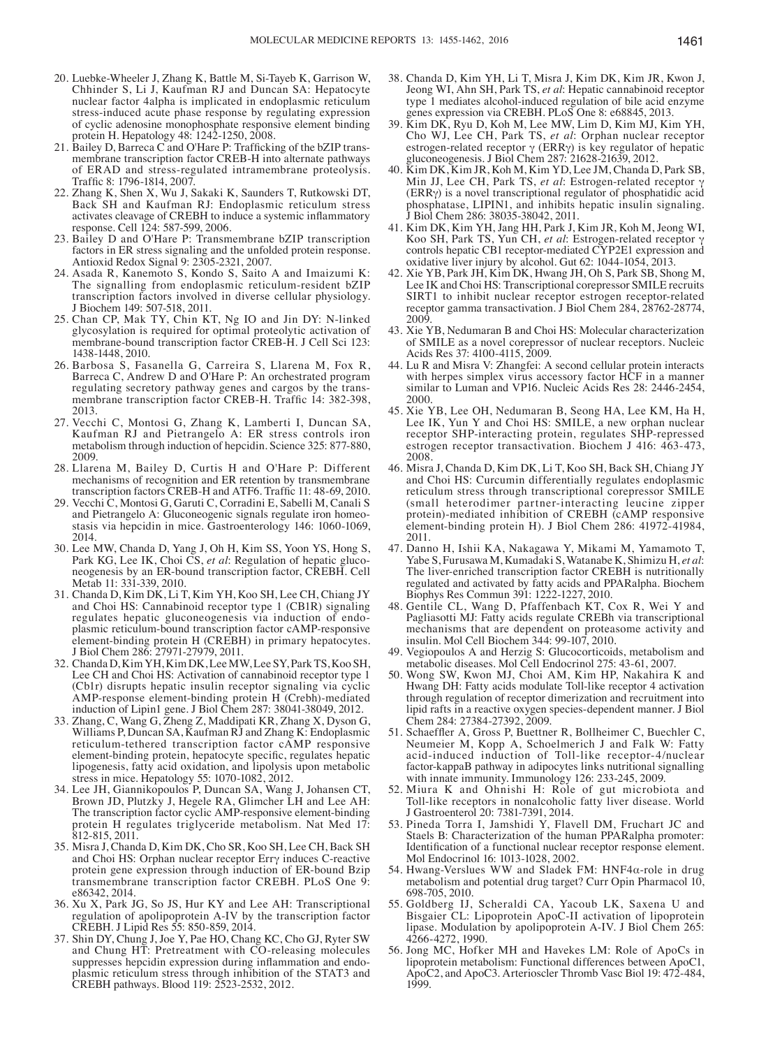- 20. Luebke-Wheeler J, Zhang K, Battle M, Si-Tayeb K, Garrison W, Chhinder S, Li J, Kaufman RJ and Duncan SA: Hepatocyte nuclear factor 4alpha is implicated in endoplasmic reticulum stress-induced acute phase response by regulating expression of cyclic adenosine monophosphate responsive element binding protein H. Hepatology 48: 1242-1250, 2008.
- 21. Bailey D, Barreca C and O'Hare P: Trafficking of the bZIP transmembrane transcription factor CREB-H into alternate pathways of ERAD and stress-regulated intramembrane proteolysis. Traffic 8: 1796‑1814, 2007.
- 22. Zhang K, Shen X, Wu J, Sakaki K, Saunders T, Rutkowski DT, Back SH and Kaufman RJ: Endoplasmic reticulum stress activates cleavage of CREBH to induce a systemic inflammatory response. Cell 124: 587-599, 2006.
- 23. Bailey D and O'Hare P: Transmembrane bZIP transcription factors in ER stress signaling and the unfolded protein response. Antioxid Redox Signal 9: 2305-2321, 2007.
- 24. Asada R, Kanemoto S, Kondo S, Saito A and Imaizumi K: The signalling from endoplasmic reticulum-resident bZIP transcription factors involved in diverse cellular physiology. J Biochem 149: 507-518, 2011.
- 25. Chan CP, Mak TY, Chin KT, Ng IO and Jin DY: N-linked glycosylation is required for optimal proteolytic activation of membrane-bound transcription factor CREB-H. J Cell Sci 123: 1438-1448, 2010.
- 26. Barbosa S, Fasanella G, Carreira S, Llarena M, Fox R, Barreca C, Andrew D and O'Hare P: An orchestrated program membrane transcription factor CREB-H. Traffic 14: 382-398, 2013.
- 27. Vecchi C, Montosi G, Zhang K, Lamberti I, Duncan SA, Kaufman RJ and Pietrangelo A: ER stress controls iron metabolism through induction of hepcidin. Science 325: 877-880, 2009.
- 28. Llarena M, Bailey D, Curtis H and O'Hare P: Different mechanisms of recognition and ER retention by transmembrane transcription factors CREB‑H and ATF6. Traffic 11: 48‑69, 2010.
- 29. Vecchi C, Montosi G, Garuti C, Corradini E, Sabelli M, Canali S and Pietrangelo A: Gluconeogenic signals regulate iron homeostasis via hepcidin in mice. Gastroenterology 146: 1060-1069, 2014.
- 30. Lee MW, Chanda D, Yang J, Oh H, Kim SS, Yoon YS, Hong S, Park KG, Lee IK, Choi CS, *et al*: Regulation of hepatic gluconeogenesis by an ER-bound transcription factor, CREBH. Cell Metab 11: 331-339, 2010.
- 31. Chanda D, Kim DK, Li T, Kim YH, Koo SH, Lee CH, Chiang JY and Choi HS: Cannabinoid receptor type 1 (CB1R) signaling regulates hepatic gluconeogenesis via induction of endoplasmic reticulum-bound transcription factor cAMP-responsive element-binding protein H (CREBH) in primary hepatocytes. J Biol Chem 286: 27971-27979, 2011.
- 32. Chanda D, Kim YH, Kim DK, Lee MW, Lee SY, Park TS, Koo SH, Lee CH and Choi HS: Activation of cannabinoid receptor type 1 (Cb1r) disrupts hepatic insulin receptor signaling via cyclic AMP-response element-binding protein H (Crebh)-mediated induction of Lipin1 gene. J Biol Chem 287: 38041-38049, 2012.
- 33. Zhang, C, Wang G, Zheng Z, Maddipati KR, Zhang X, Dyson G, Williams P, Duncan SA, Kaufman RJ and Zhang K: Endoplasmic reticulum-tethered transcription factor cAMP responsive element‑binding protein, hepatocyte specific, regulates hepatic lipogenesis, fatty acid oxidation, and lipolysis upon metabolic stress in mice. Hepatology 55: 1070-1082, 2012.
- 34. Lee JH, Giannikopoulos P, Duncan SA, Wang J, Johansen CT, Brown JD, Plutzky J, Hegele RA, Glimcher LH and Lee AH: The transcription factor cyclic AMP-responsive element-binding protein H regulates triglyceride metabolism. Nat Med 17: 812-815, 2011.
- 35. Misra J, Chanda D, Kim DK, Cho SR, Koo SH, Lee CH, Back SH and Choi HS: Orphan nuclear receptor Errγ induces C-reactive protein gene expression through induction of ER-bound Bzip transmembrane transcription factor CREBH. PLoS One 9: e86342, 2014.
- 36. Xu X, Park JG, So JS, Hur KY and Lee AH: Transcriptional regulation of apolipoprotein A-IV by the transcription factor CREBH. J Lipid Res 55: 850-859, 2014.
- 37. Shin DY, Chung J, Joe Y, Pae HO, Chang KC, Cho GJ, Ryter SW and Chung HT: Pretreatment with CO-releasing molecules suppresses hepcidin expression during inflammation and endoplasmic reticulum stress through inhibition of the STAT3 and CREBH pathways. Blood 119: 2523-2532, 2012.
- 38. Chanda D, Kim YH, Li T, Misra J, Kim DK, Kim JR, Kwon J, Jeong WI, Ahn SH, Park TS, *et al*: Hepatic cannabinoid receptor type 1 mediates alcohol-induced regulation of bile acid enzyme genes expression via CREBH. PLoS One 8: e68845, 2013.
- 39. Kim DK, Ryu D, Koh M, Lee MW, Lim D, Kim MJ, Kim YH, Cho WJ, Lee CH, Park TS, *et al*: Orphan nuclear receptor estrogen-related receptor  $\gamma$  (ERR $\gamma$ ) is key regulator of hepatic gluconeogenesis. J Biol Chem 287: 21628-21639, 2012.
- 40. Kim DK, Kim JR, Koh M, Kim YD, Lee JM, Chanda D, Park SB, Min JJ, Lee CH, Park TS, *et al*: Estrogen-related receptor γ (ERRγ) is a novel transcriptional regulator of phosphatidic acid phosphatase, LIPIN1, and inhibits hepatic insulin signaling. Biol Chem 286: 38035-38042, 2011.
- 41. Kim DK, Kim YH, Jang HH, Park J, Kim JR, Koh M, Jeong WI, Koo SH, Park TS, Yun CH, *et al*: Estrogen-related receptor γ controls hepatic CB1 receptor-mediated CYP2E1 expression and oxidative liver injury by alcohol. Gut 62: 1044-1054, 2013.
- 42. Xie YB, Park JH, Kim DK, Hwang JH, Oh S, Park SB, Shong M, Lee IK and Choi HS: Transcriptional corepressor SMILE recruits SIRT1 to inhibit nuclear receptor estrogen receptor-related receptor gamma transactivation. J Biol Chem 284, 28762-28774, 2009.
- 43. Xie YB, Nedumaran B and Choi HS: Molecular characterization of SMILE as a novel corepressor of nuclear receptors. Nucleic Acids Res 37: 4100-4115, 2009.
- 44. Lu R and Misra V: Zhangfei: A second cellular protein interacts with herpes simplex virus accessory factor HCF in a manner similar to Luman and VP16. Nucleic Acids Res 28: 2446-2454, 2000.
- 45. Xie YB, Lee OH, Nedumaran B, Seong HA, Lee KM, Ha H, Lee IK, Yun Y and Choi HS: SMILE, a new orphan nuclear receptor SHP-interacting protein, regulates SHP-repressed estrogen receptor transactivation. Biochem J 416: 463-473, 2008.
- 46. Misra J, Chanda D, Kim DK, Li T, Koo SH, Back SH, Chiang JY and Choi HS: Curcumin differentially regulates endoplasmic reticulum stress through transcriptional corepressor SMILE (small heterodimer partner-interacting leucine zipper protein)-mediated inhibition of CREBH (cAMP responsive element-binding protein H). J Biol Chem 286: 41972-41984, 2011.
- 47. Danno H, Ishii KA, Nakagawa Y, Mikami M, Yamamoto T, Yabe S, Furusawa M, Kumadaki S, Watanabe K, Shimizu H, *et al*: The liver-enriched transcription factor CREBH is nutritionally regulated and activated by fatty acids and PPARalpha. Biochem Biophys Res Commun 391: 1222-1227, 2010.
- 48. Gentile CL, Wang D, Pfaffenbach KT, Cox R, Wei Y and Pagliasotti MJ: Fatty acids regulate CREBh via transcriptional mechanisms that are dependent on proteasome activity and insulin. Mol Cell Biochem 344: 99-107, 2010.
- 49. Vegiopoulos A and Herzig S: Glucocorticoids, metabolism and metabolic diseases. Mol Cell Endocrinol 275: 43-61, 2007.
- 50. Wong SW, Kwon MJ, Choi AM, Kim HP, Nakahira K and Hwang DH: Fatty acids modulate Toll-like receptor 4 activation through regulation of receptor dimerization and recruitment into lipid rafts in a reactive oxygen species-dependent manner. J Biol Chem 284: 27384-27392, 2009.
- 51. Schaeffler A, Gross P, Buettner R, Bollheimer C, Buechler C, Neumeier M, Kopp A, Schoelmerich J and Falk W: Fatty acid-induced induction of Toll-like receptor-4/nuclear factor-kappaB pathway in adipocytes links nutritional signalling with innate immunity. Immunology 126: 233-245, 2009.
- 52. Miura K and Ohnishi H: Role of gut microbiota and Toll-like receptors in nonalcoholic fatty liver disease. World J Gastroenterol 20: 7381-7391, 2014.
- 53. Pineda Torra I, Jamshidi Y, Flavell DM, Fruchart JC and Staels B: Characterization of the human PPARalpha promoter: Identification of a functional nuclear receptor response element. Mol Endocrinol 16: 1013-1028, 2002.
- 54. Hwang-Verslues WW and Sladek FM: HNF4α-role in drug metabolism and potential drug target? Curr Opin Pharmacol 10, 698-705, 2010.
- 55. Goldberg IJ, Scheraldi CA, Yacoub LK, Saxena U and Bisgaier CL: Lipoprotein ApoC-II activation of lipoprotein lipase. Modulation by apolipoprotein A-IV. J Biol Chem 265: 4266-4272, 1990.
- 56. Jong MC, Hofker MH and Havekes LM: Role of ApoCs in lipoprotein metabolism: Functional differences between ApoC1, ApoC2, and ApoC3. Arterioscler Thromb Vasc Biol 19: 472-484, 1999.